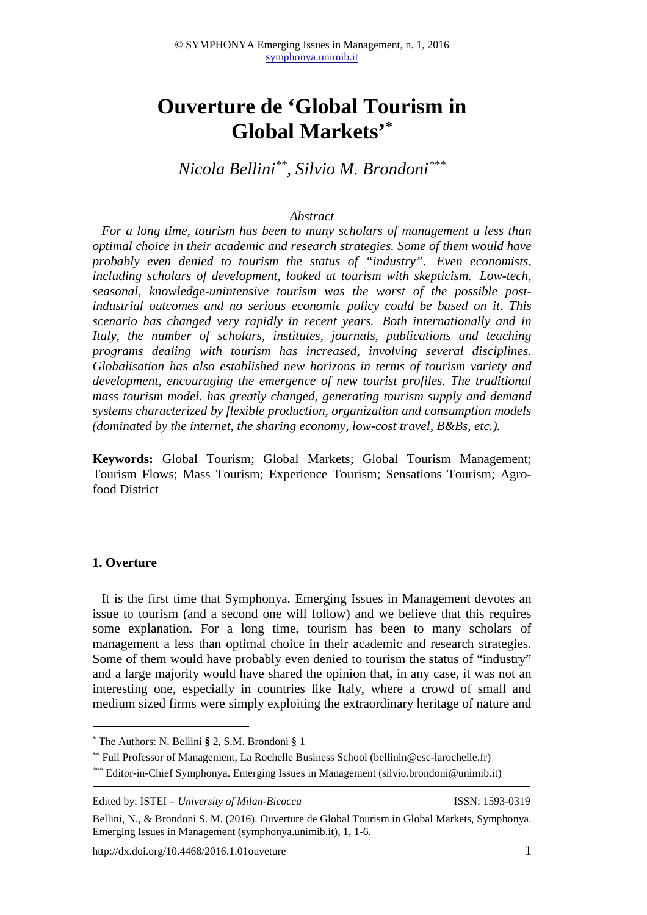# **Ouverture de 'Global Tourism in Global Markets'\***

*Nicola Bellini\*\*, Silvio M. Brondoni\*\*\**

#### *Abstract*

*For a long time, tourism has been to many scholars of management a less than optimal choice in their academic and research strategies. Some of them would have probably even denied to tourism the status of "industry". Even economists, including scholars of development, looked at tourism with skepticism. Low-tech, seasonal, knowledge-unintensive tourism was the worst of the possible postindustrial outcomes and no serious economic policy could be based on it. This scenario has changed very rapidly in recent years. Both internationally and in Italy, the number of scholars, institutes, journals, publications and teaching programs dealing with tourism has increased, involving several disciplines. Globalisation has also established new horizons in terms of tourism variety and development, encouraging the emergence of new tourist profiles. The traditional mass tourism model. has greatly changed, generating tourism supply and demand systems characterized by flexible production, organization and consumption models (dominated by the internet, the sharing economy, low-cost travel, B&Bs, etc.).* 

**Keywords:** Global Tourism; Global Markets; Global Tourism Management; Tourism Flows; Mass Tourism; Experience Tourism; Sensations Tourism; Agrofood District

#### **1. Overture**

 $\overline{a}$ 

It is the first time that Symphonya. Emerging Issues in Management devotes an issue to tourism (and a second one will follow) and we believe that this requires some explanation. For a long time, tourism has been to many scholars of management a less than optimal choice in their academic and research strategies. Some of them would have probably even denied to tourism the status of "industry" and a large majority would have shared the opinion that, in any case, it was not an interesting one, especially in countries like Italy, where a crowd of small and medium sized firms were simply exploiting the extraordinary heritage of nature and

<sup>\*</sup> The Authors: N. Bellini **§** 2, S.M. Brondoni § 1

<sup>\*\*</sup> Full Professor of Management, La Rochelle Business School (bellinin@esc-larochelle.fr)

<sup>\*\*\*</sup> Editor-in-Chief Symphonya. Emerging Issues in Management (silvio.brondoni@unimib.it)

Edited by: ISTEI – *University of Milan-Bicocca* ISSN: 1593-0319

Bellini, N., & Brondoni S. M. (2016). Ouverture de Global Tourism in Global Markets, Symphonya. Emerging Issues in Management (symphonya.unimib.it), 1, 1-6.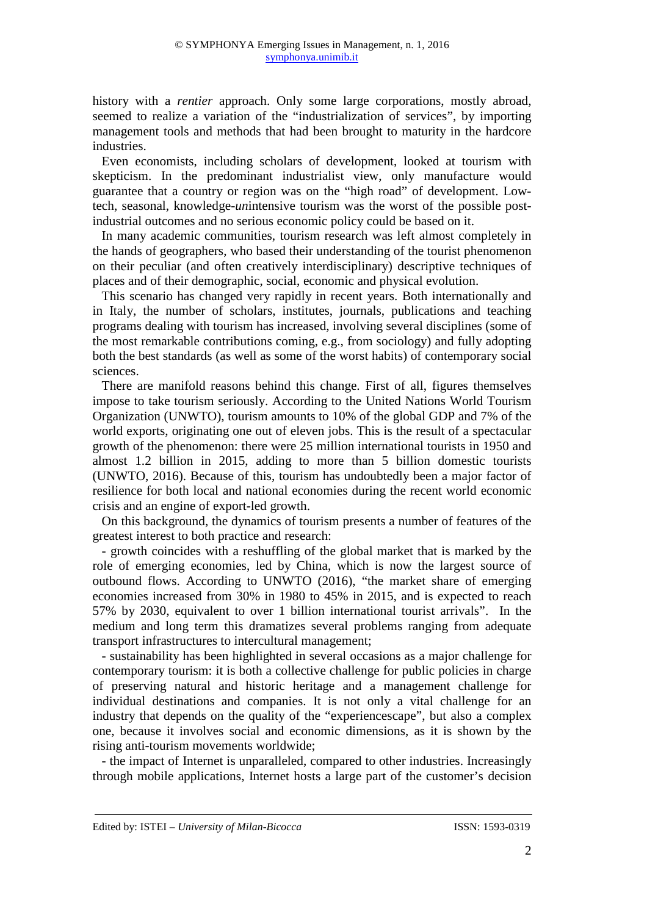history with a *rentier* approach. Only some large corporations, mostly abroad, seemed to realize a variation of the "industrialization of services", by importing management tools and methods that had been brought to maturity in the hardcore industries.

Even economists, including scholars of development, looked at tourism with skepticism. In the predominant industrialist view, only manufacture would guarantee that a country or region was on the "high road" of development. Lowtech, seasonal, knowledge-*un*intensive tourism was the worst of the possible postindustrial outcomes and no serious economic policy could be based on it.

In many academic communities, tourism research was left almost completely in the hands of geographers, who based their understanding of the tourist phenomenon on their peculiar (and often creatively interdisciplinary) descriptive techniques of places and of their demographic, social, economic and physical evolution.

This scenario has changed very rapidly in recent years. Both internationally and in Italy, the number of scholars, institutes, journals, publications and teaching programs dealing with tourism has increased, involving several disciplines (some of the most remarkable contributions coming, e.g., from sociology) and fully adopting both the best standards (as well as some of the worst habits) of contemporary social sciences.

There are manifold reasons behind this change. First of all, figures themselves impose to take tourism seriously. According to the United Nations World Tourism Organization (UNWTO), tourism amounts to 10% of the global GDP and 7% of the world exports, originating one out of eleven jobs. This is the result of a spectacular growth of the phenomenon: there were 25 million international tourists in 1950 and almost 1.2 billion in 2015, adding to more than 5 billion domestic tourists (UNWTO, 2016). Because of this, tourism has undoubtedly been a major factor of resilience for both local and national economies during the recent world economic crisis and an engine of export-led growth.

On this background, the dynamics of tourism presents a number of features of the greatest interest to both practice and research:

- growth coincides with a reshuffling of the global market that is marked by the role of emerging economies, led by China, which is now the largest source of outbound flows. According to UNWTO (2016), "the market share of emerging economies increased from 30% in 1980 to 45% in 2015, and is expected to reach 57% by 2030, equivalent to over 1 billion international tourist arrivals". In the medium and long term this dramatizes several problems ranging from adequate transport infrastructures to intercultural management;

- sustainability has been highlighted in several occasions as a major challenge for contemporary tourism: it is both a collective challenge for public policies in charge of preserving natural and historic heritage and a management challenge for individual destinations and companies. It is not only a vital challenge for an industry that depends on the quality of the "experiencescape", but also a complex one, because it involves social and economic dimensions, as it is shown by the rising anti-tourism movements worldwide;

- the impact of Internet is unparalleled, compared to other industries. Increasingly through mobile applications, Internet hosts a large part of the customer's decision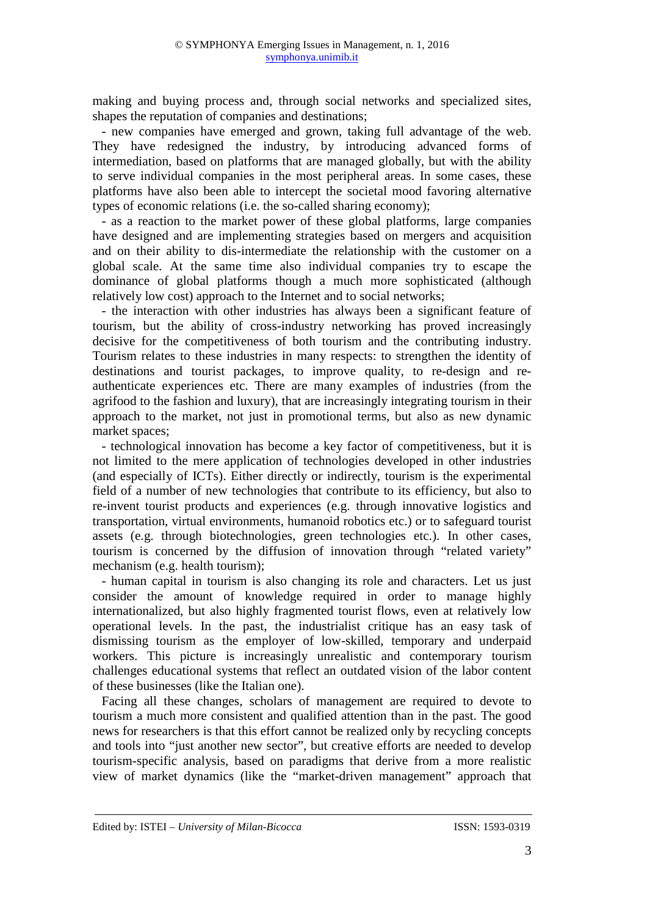making and buying process and, through social networks and specialized sites, shapes the reputation of companies and destinations;

- new companies have emerged and grown, taking full advantage of the web. They have redesigned the industry, by introducing advanced forms of intermediation, based on platforms that are managed globally, but with the ability to serve individual companies in the most peripheral areas. In some cases, these platforms have also been able to intercept the societal mood favoring alternative types of economic relations (i.e. the so-called sharing economy);

- as a reaction to the market power of these global platforms, large companies have designed and are implementing strategies based on mergers and acquisition and on their ability to dis-intermediate the relationship with the customer on a global scale. At the same time also individual companies try to escape the dominance of global platforms though a much more sophisticated (although relatively low cost) approach to the Internet and to social networks;

- the interaction with other industries has always been a significant feature of tourism, but the ability of cross-industry networking has proved increasingly decisive for the competitiveness of both tourism and the contributing industry. Tourism relates to these industries in many respects: to strengthen the identity of destinations and tourist packages, to improve quality, to re-design and reauthenticate experiences etc. There are many examples of industries (from the agrifood to the fashion and luxury), that are increasingly integrating tourism in their approach to the market, not just in promotional terms, but also as new dynamic market spaces;

- technological innovation has become a key factor of competitiveness, but it is not limited to the mere application of technologies developed in other industries (and especially of ICTs). Either directly or indirectly, tourism is the experimental field of a number of new technologies that contribute to its efficiency, but also to re-invent tourist products and experiences (e.g. through innovative logistics and transportation, virtual environments, humanoid robotics etc.) or to safeguard tourist assets (e.g. through biotechnologies, green technologies etc.). In other cases, tourism is concerned by the diffusion of innovation through "related variety" mechanism (e.g. health tourism);

- human capital in tourism is also changing its role and characters. Let us just consider the amount of knowledge required in order to manage highly internationalized, but also highly fragmented tourist flows, even at relatively low operational levels. In the past, the industrialist critique has an easy task of dismissing tourism as the employer of low-skilled, temporary and underpaid workers. This picture is increasingly unrealistic and contemporary tourism challenges educational systems that reflect an outdated vision of the labor content of these businesses (like the Italian one).

Facing all these changes, scholars of management are required to devote to tourism a much more consistent and qualified attention than in the past. The good news for researchers is that this effort cannot be realized only by recycling concepts and tools into "just another new sector", but creative efforts are needed to develop tourism-specific analysis, based on paradigms that derive from a more realistic view of market dynamics (like the "market-driven management" approach that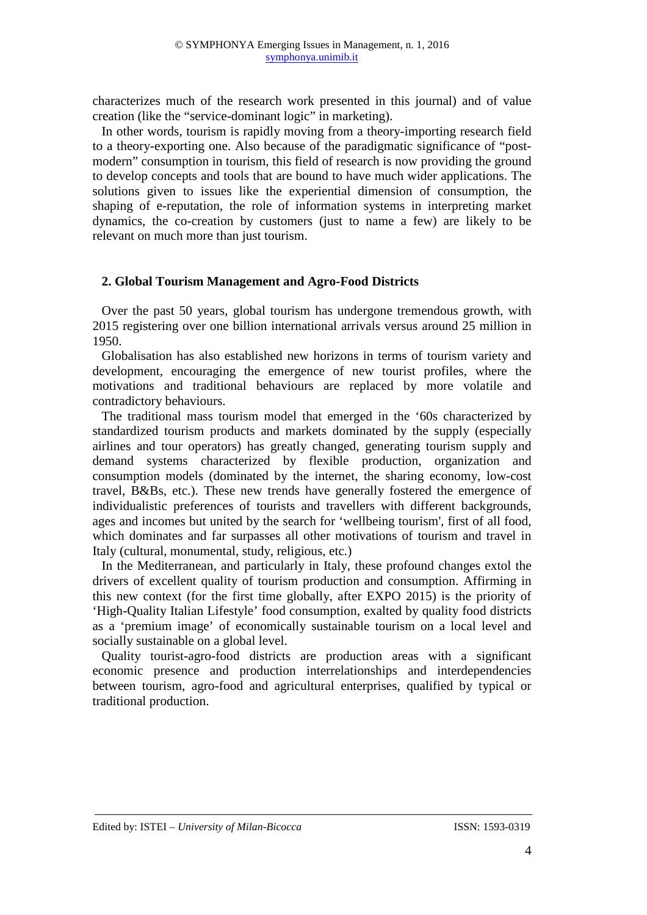characterizes much of the research work presented in this journal) and of value creation (like the "service-dominant logic" in marketing).

In other words, tourism is rapidly moving from a theory-importing research field to a theory-exporting one. Also because of the paradigmatic significance of "postmodern" consumption in tourism, this field of research is now providing the ground to develop concepts and tools that are bound to have much wider applications. The solutions given to issues like the experiential dimension of consumption, the shaping of e-reputation, the role of information systems in interpreting market dynamics, the co-creation by customers (just to name a few) are likely to be relevant on much more than just tourism.

## **2. Global Tourism Management and Agro-Food Districts**

Over the past 50 years, global tourism has undergone tremendous growth, with 2015 registering over one billion international arrivals versus around 25 million in 1950.

Globalisation has also established new horizons in terms of tourism variety and development, encouraging the emergence of new tourist profiles, where the motivations and traditional behaviours are replaced by more volatile and contradictory behaviours.

The traditional mass tourism model that emerged in the '60s characterized by standardized tourism products and markets dominated by the supply (especially airlines and tour operators) has greatly changed, generating tourism supply and demand systems characterized by flexible production, organization and consumption models (dominated by the internet, the sharing economy, low-cost travel, B&Bs, etc.). These new trends have generally fostered the emergence of individualistic preferences of tourists and travellers with different backgrounds, ages and incomes but united by the search for 'wellbeing tourism', first of all food, which dominates and far surpasses all other motivations of tourism and travel in Italy (cultural, monumental, study, religious, etc.)

In the Mediterranean, and particularly in Italy, these profound changes extol the drivers of excellent quality of tourism production and consumption. Affirming in this new context (for the first time globally, after EXPO 2015) is the priority of 'High-Quality Italian Lifestyle' food consumption, exalted by quality food districts as a 'premium image' of economically sustainable tourism on a local level and socially sustainable on a global level.

Quality tourist-agro-food districts are production areas with a significant economic presence and production interrelationships and interdependencies between tourism, agro-food and agricultural enterprises, qualified by typical or traditional production.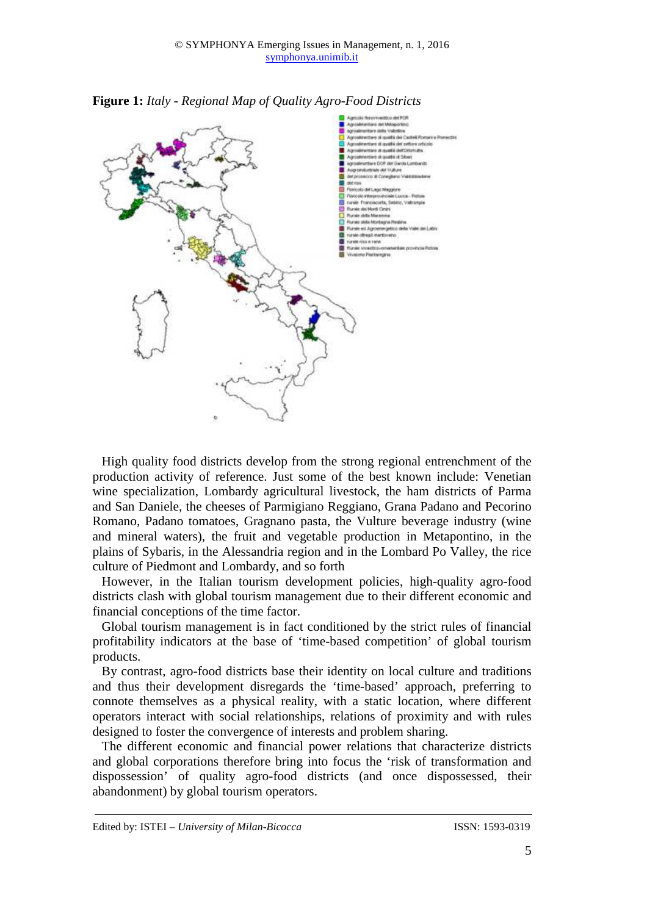

**Figure 1:** *Italy - Regional Map of Quality Agro-Food Districts*

High quality food districts develop from the strong regional entrenchment of the production activity of reference. Just some of the best known include: Venetian wine specialization, Lombardy agricultural livestock, the ham districts of Parma and San Daniele, the cheeses of Parmigiano Reggiano, Grana Padano and Pecorino Romano, Padano tomatoes, Gragnano pasta, the Vulture beverage industry (wine and mineral waters), the fruit and vegetable production in Metapontino, in the plains of Sybaris, in the Alessandria region and in the Lombard Po Valley, the rice culture of Piedmont and Lombardy, and so forth

However, in the Italian tourism development policies, high-quality agro-food districts clash with global tourism management due to their different economic and financial conceptions of the time factor.

Global tourism management is in fact conditioned by the strict rules of financial profitability indicators at the base of 'time-based competition' of global tourism products.

By contrast, agro-food districts base their identity on local culture and traditions and thus their development disregards the 'time-based' approach, preferring to connote themselves as a physical reality, with a static location, where different operators interact with social relationships, relations of proximity and with rules designed to foster the convergence of interests and problem sharing.

The different economic and financial power relations that characterize districts and global corporations therefore bring into focus the 'risk of transformation and dispossession' of quality agro-food districts (and once dispossessed, their abandonment) by global tourism operators.